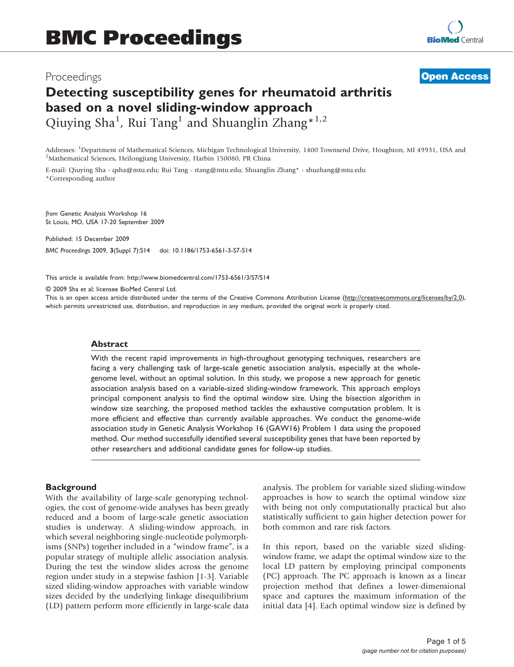# Proceedings

**[Open Access](http://www.biomedcentral.com/info/about/charter/)**

# Detecting susceptibility genes for rheumatoid arthritis based on a novel sliding-window approach Qiuying Sha<sup>1</sup>, Rui Tang<sup>1</sup> and Shuanglin Zhang<sup>\*1,2</sup>

Addresses: <sup>1</sup>Department of Mathematical Sciences, Michigan Technological University, 1400 Townsend Drive, Houghton, MI 49931, USA and<br><sup>2</sup>Mathematical Sciences, Heilongijang University, Harbin 150080, PR China <sup>2</sup>Mathematical Sciences, Heilongjiang University, Harbin 150080, PR China

E-mail: Qiuying Sha - [qsha@mtu.edu](mailto:qsha@mtu.edu); Rui Tang - [rtang@mtu.edu](mailto:rtang@mtu.edu); Shuanglin Zhang\* - [shuzhang@mtu.edu](mailto:shuzhang@mtu.edu) \*Corresponding author

from Genetic Analysis Workshop 16 St Louis, MO, USA 17-20 September 2009

Published: 15 December 2009 BMC Proceedings 2009, 3(Suppl 7):S14 doi: 10.1186/1753-6561-3-S7-S14

This article is available from: http://www.biomedcentral.com/1753-6561/3/S7/S14

© 2009 Sha et al; licensee BioMed Central Ltd.

This is an open access article distributed under the terms of the Creative Commons Attribution License [\(http://creativecommons.org/licenses/by/2.0\)](http://creativecommons.org/licenses/by/2.0), which permits unrestricted use, distribution, and reproduction in any medium, provided the original work is properly cited.

#### Abstract

With the recent rapid improvements in high-throughout genotyping techniques, researchers are facing a very challenging task of large-scale genetic association analysis, especially at the wholegenome level, without an optimal solution. In this study, we propose a new approach for genetic association analysis based on a variable-sized sliding-window framework. This approach employs principal component analysis to find the optimal window size. Using the bisection algorithm in window size searching, the proposed method tackles the exhaustive computation problem. It is more efficient and effective than currently available approaches. We conduct the genome-wide association study in Genetic Analysis Workshop 16 (GAW16) Problem 1 data using the proposed method. Our method successfully identified several susceptibility genes that have been reported by other researchers and additional candidate genes for follow-up studies.

# **Background**

With the availability of large-scale genotyping technologies, the cost of genome-wide analyses has been greatly reduced and a boom of large-scale genetic association studies is underway. A sliding-window approach, in which several neighboring single-nucleotide polymorphisms (SNPs) together included in a "window frame", is a popular strategy of multiple allelic association analysis. During the test the window slides across the genome region under study in a stepwise fashion [[1](#page-3-0)-[3](#page-3-0)]. Variable sized sliding-window approaches with variable window sizes decided by the underlying linkage disequilibrium (LD) pattern perform more efficiently in large-scale data analysis. The problem for variable sized sliding-window approaches is how to search the optimal window size with being not only computationally practical but also statistically sufficient to gain higher detection power for both common and rare risk factors.

In this report, based on the variable sized slidingwindow frame, we adapt the optimal window size to the local LD pattern by employing principal components (PC) approach. The PC approach is known as a linear projection method that defines a lower-dimensional space and captures the maximum information of the initial data [[4](#page-3-0)]. Each optimal window size is defined by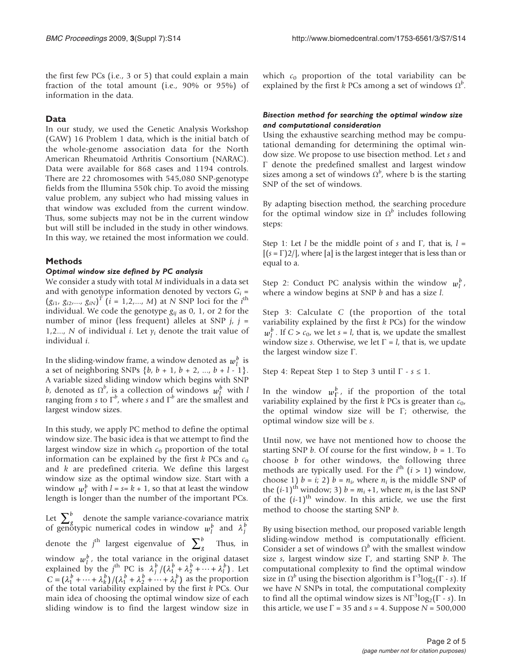the first few PCs (i.e., 3 or 5) that could explain a main fraction of the total amount (i.e., 90% or 95%) of information in the data.

# Data

In our study, we used the Genetic Analysis Workshop (GAW) 16 Problem 1 data, which is the initial batch of the whole-genome association data for the North American Rheumatoid Arthritis Consortium (NARAC). Data were available for 868 cases and 1194 controls. There are 22 chromosomes with 545,080 SNP-genotype fields from the Illumina 550k chip. To avoid the missing value problem, any subject who had missing values in that window was excluded from the current window. Thus, some subjects may not be in the current window but will still be included in the study in other windows. In this way, we retained the most information we could.

# Methods

#### Optimal window size defined by PC analysis

We consider a study with total M individuals in a data set and with genotype information denoted by vectors  $G_i$  =  $(g_{i1}, g_{i2},..., g_{iN})^T$   $(i = 1, 2,..., M)$  at N SNP loci for the *i*<sup>th</sup> individual We code the genotype  $g_{ii}$  as 0, 1, or 2 for the individual. We code the genotype  $g_{ii}$  as 0, 1, or 2 for the number of minor (less frequent) alleles at SNP  $j$ ,  $j =$ 1,2..., N of individual *i*. Let  $y_i$  denote the trait value of individual i.

In the sliding-window frame, a window denoted as  $w_l^b$  is a set of neighboring SNPs  $\{b, b + 1, b + 2, ..., b + l - 1\}$ . A variable sized sliding window which begins with SNP *b*, denoted as  $\Omega^b$ <br>ranging from s to , is a collection of windows  $w_l^b$  with l ranging from s to  $\Gamma^b$ , where s and  $\Gamma^b$  are the smallest and<br>largest window sizes largest window sizes.

In this study, we apply PC method to define the optimal window size. The basic idea is that we attempt to find the largest window size in which  $c_0$  proportion of the total information can be explained by the first  $k$  PCs and  $c_0$ and  $k$  are predefined criteria. We define this largest window size as the optimal window size. Start with a window  $w_l^b$  with  $l = s = k + 1$ , so that at least the window<br>length is longer than the number of the important PCs length is longer than the number of the important PCs.

Let  $\sum_{g}^{g}$  $\sum_{g}^{b}$  denote the sample variance-covariance matrix of genotypic numerical codes in window  $w_l^b$  and  $\lambda_j^b$ denote the  $j^{\text{th}}$  largest eigenvalue of  $\sum_{g}^{b}$  Thus, in window  $w_l^b$ , the total variance in the original dataset explained by the j<sup>th</sup> PC is  $\lambda_j^b / (\lambda_1^b + \lambda_2^b + \cdots + \lambda_l^b)$ . Let  $C = (\lambda_1^b + \dots + \lambda_k^b)/(\lambda_1^b + \lambda_2^b + \dots + \lambda_l^b)$  as the proportion of the total variability explained by the first  $k$  PCs. Our main idea of choosing the optimal window size of each sliding window is to find the largest window size in which  $c_0$  proportion of the total variability can be explained by the first k PCs among a set of windows  $\Omega^b$ .

# Bisection method for searching the optimal window size and computational consideration

Using the exhaustive searching method may be computational demanding for determining the optimal window size. We propose to use bisection method. Let s and Γ denote the predefined smallest and largest window sizes among a set of windows  $\Omega^b$ , where b is the starting SNP of the set of windows.

By adapting bisection method, the searching procedure for the optimal window size in  $\Omega^b$  includes following steps:

Step 1: Let l be the middle point of s and Γ, that is,  $l =$  $[(s = \Gamma)2/$ , where [a] is the largest integer that is less than or equal to a.

Step 2: Conduct PC analysis within the window  $w_l^b$ , where a window begins at SNP b and has a size l.

Step 3: Calculate C (the proportion of the total variability explained by the first  $k$  PCs) for the window  $w_l^b$ . If  $C > c_0$ , we let  $s = l$ , that is, we update the smallest viology size s. Otherwise, we let  $\Gamma - l$  that is, we update window size s. Otherwise, we let  $\Gamma = l$ , that is, we update the largest window size Γ.

Step 4: Repeat Step 1 to Step 3 until  $\Gamma$  -  $s \leq 1$ .

In the window  $w_{\Gamma}^b$ , if the proportion of the total variability explained by the first  $k$  PCs is greater than  $c_0$ , the optimal window size will be Γ; otherwise, the optimal window size will be s.

Until now, we have not mentioned how to choose the starting SNP  $b$ . Of course for the first window,  $b = 1$ . To choose  $b$  for other windows, the following three methods are typically used. For the  $i^{\text{th}}$   $(i > 1)$  window,<br>choose 1)  $h - i$ ; 2)  $h - n$ , where n, is the middle SNP of choose 1)  $b = i$ ; 2)  $b = n_i$ , where  $n_i$  is the middle SNP of the  $(i-1)$ <sup>th</sup> window; 3)  $b = m_i + 1$ , where  $m_i$  is the last SNP of the  $(i-1)$ <sup>th</sup> window. In this article, we use the first method to choose the starting SNP b.

By using bisection method, our proposed variable length sliding-window method is computationally efficient. Consider a set of windows  $\Omega^b$  with the smallest window size s, largest window size  $\Gamma$ , and starting SNP b. The computational complexity to find the optimal window size in  $\Omega^b$  using the bisection algorithm is  $\Gamma^3 \log_2(\Gamma - s)$ . If we have N SNPs in total, the computational complexity to find all the optimal window sizes is  $NT^3 \log_2(\Gamma - s)$ . In this article we use  $\Gamma - 35$  and  $s - 4$ . Suppose  $N = 500,000$ this article, we use  $\Gamma$  = 35 and  $s$  = 4. Suppose  $N = 500,000$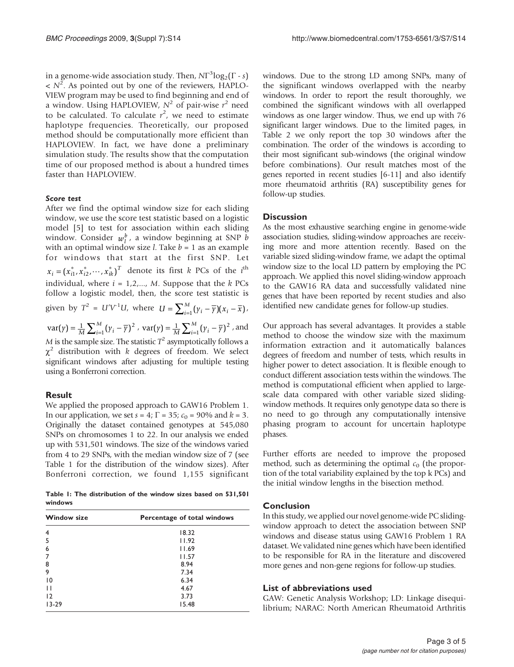in a genome-wide association study. Then,  $NT^3 \log_2(\Gamma - s)$ <br> $\leq N^2$  as pointed out by one of the reviewers. HAPLO  $\langle N^2 \rangle$ . As pointed out by one of the reviewers, HAPLO-<br>VIEW program may be used to find beginning and end of VIEW program may be used to find beginning and end of a window. Using HAPLOVIEW,  $N^2$  of pair-wise  $r^2$  need<br>to be calculated. To calculate  $r^2$ , we need to estimate to be calculated. To calculate  $r^2$ , we need to estimate<br>haplotype frequencies. Theoretically, our proposed haplotype frequencies. Theoretically, our proposed method should be computationally more efficient than HAPLOVIEW. In fact, we have done a preliminary simulation study. The results show that the computation time of our proposed method is about a hundred times faster than HAPLOVIEW.

#### Score test

After we find the optimal window size for each sliding window, we use the score test statistic based on a logistic model [\[5\]](#page-3-0) to test for association within each sliding window. Consider  $w_l^b$ , a window beginning at SNP *b* with an optimal window size *l* Take *b* = 1 as an example with an optimal window size *l*. Take  $b = 1$  as an example for windows that start at the first SNP. Let  $x_i = (x_{i1}^*, x_{i2}^*, \dots, x_{ik}^*)^T$  denote its first k PCs of the *i*<sup>th</sup> individual, where  $i = 1, 2, \dots, M$ . Suppose that the k PCs follow a logistic model, then, the score test statistic is given by  $T^2 = U'V^{-1}U$ , where  $U = \sum_{i=1}^{M} (\gamma_i - \overline{\gamma})(x_i - \overline{x})$ ,  $var(y) = \frac{1}{M} \sum_{i=1}^{M} (\gamma_i - \overline{\gamma})^2$ ,  $var(y) = \frac{1}{M} \sum_{i=1}^{M} (\gamma_i - \overline{\gamma})^2$ , and M is the sample size. The statistic  $T^2$  asymptotically follows a

 $\chi^2$  distribution with k degrees of freedom. We select significant windows after adjusting for multiple testing using a Bonferroni correction.

# Result

We applied the proposed approach to GAW16 Problem 1. In our application, we set  $s = 4$ ;  $\Gamma = 35$ ;  $c_0 = 90\%$  and  $k = 3$ . Originally the dataset contained genotypes at 545,080 SNPs on chromosomes 1 to 22. In our analysis we ended up with 531,501 windows. The size of the windows varied from 4 to 29 SNPs, with the median window size of 7 (see Table 1 for the distribution of the window sizes). After Bonferroni correction, we found 1,155 significant

Table 1: The distribution of the window sizes based on 531,501 windows

| <b>Window size</b> | Percentage of total windows |  |
|--------------------|-----------------------------|--|
| $\overline{4}$     | 18.32                       |  |
| 5                  | 11.92                       |  |
| 6                  | 11.69                       |  |
| 7                  | 11.57                       |  |
| 8                  | 8.94                        |  |
| 9                  | 7.34                        |  |
| $\overline{10}$    | 6.34                        |  |
| П                  | 4.67                        |  |
| 12                 | 3.73                        |  |
| $13 - 29$          | 15.48                       |  |

windows. Due to the strong LD among SNPs, many of the significant windows overlapped with the nearby windows. In order to report the result thoroughly, we combined the significant windows with all overlapped windows as one larger window. Thus, we end up with 76 significant larger windows. Due to the limited pages, in [Table 2](#page-3-0) we only report the top 30 windows after the combination. The order of the windows is according to their most significant sub-windows (the original window before combinations). Our result matches most of the genes reported in recent studies [[6](#page-3-0)[-11\]](#page-4-0) and also identify more rheumatoid arthritis (RA) susceptibility genes for follow-up studies.

# **Discussion**

As the most exhaustive searching engine in genome-wide association studies, sliding-window approaches are receiving more and more attention recently. Based on the variable sized sliding-window frame, we adapt the optimal window size to the local LD pattern by employing the PC approach. We applied this novel sliding-window approach to the GAW16 RA data and successfully validated nine genes that have been reported by recent studies and also identified new candidate genes for follow-up studies.

Our approach has several advantages. It provides a stable method to choose the window size with the maximum information extraction and it automatically balances degrees of freedom and number of tests, which results in higher power to detect association. It is flexible enough to conduct different association tests within the windows. The method is computational efficient when applied to largescale data compared with other variable sized slidingwindow methods. It requires only genotype data so there is no need to go through any computationally intensive phasing program to account for uncertain haplotype phases.

Further efforts are needed to improve the proposed method, such as determining the optimal  $c_0$  (the proportion of the total variability explained by the top k PCs) and the initial window lengths in the bisection method.

# Conclusion

In this study, we applied our novel genome-wide PC slidingwindow approach to detect the association between SNP windows and disease status using GAW16 Problem 1 RA dataset. We validated nine genes which have been identified to be responsible for RA in the literature and discovered more genes and non-gene regions for follow-up studies.

# List of abbreviations used

GAW: Genetic Analysis Workshop; LD: Linkage disequilibrium; NARAC: North American Rheumatoid Arthritis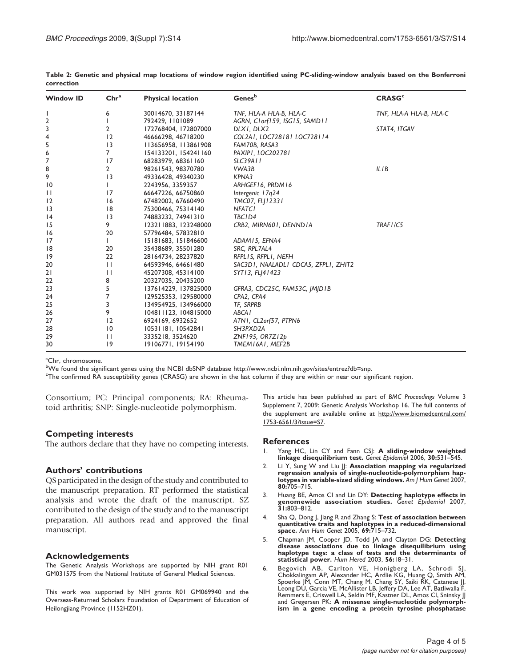| <b>Window ID</b> | Chr <sup>a</sup> | <b>Physical location</b> | Genes <sup>b</sup>                   | <b>CRASG<sup>c</sup></b> |
|------------------|------------------|--------------------------|--------------------------------------|--------------------------|
|                  | 6                | 30014670, 33187144       | TNF, HLA-A HLA-B, HLA-C              | TNF, HLA-A HLA-B, HLA-C  |
| $\overline{2}$   |                  | 792429, 1101089          | AGRN, Clorf159, ISG15, SAMD11        |                          |
| 3                | 2                | 172768404, 172807000     | DLXI, DLX2                           | STAT4, ITGAV             |
| 4                | 12               | 46666298, 46718200       | COL2AI, LOC728181 LOC728114          |                          |
| 5                | $\overline{13}$  | 113656958, 113861908     | FAM70B, RASA3                        |                          |
| 6                | 7                | 154133201, 154241160     | PAXIPI, LOC202781                    |                          |
| 7                | 17               | 68283979, 68361160       | <b>SLC39A11</b>                      |                          |
| 8                | $\overline{2}$   | 98261543, 98370780       | VWA3B                                | ILIB                     |
| 9                | $\overline{13}$  | 49336428, 49340230       | KPNA3                                |                          |
| $\overline{10}$  |                  | 2243956, 3359357         | ARHGEF16, PRDM16                     |                          |
| $\mathbf{H}$     | 17               | 66647226, 66750860       | Intergenic 17q24                     |                          |
| 12               | 16               | 67482002, 67660490       | TMC07, FL 12331                      |                          |
| $\overline{13}$  | 8                | 75300466, 75314140       | <b>NFATCI</b>                        |                          |
| 4                | $\overline{13}$  | 74883232, 74941310       | TBC1D4                               |                          |
| 15               | 9                | 123211883, 123248000     | CRB2, MIRN601, DENND1A               | TRAF1/C5                 |
| 16               | 20               | 57796484, 57832810       |                                      |                          |
| 17               |                  | 15181683, 151846600      | ADAM15, EFNA4                        |                          |
| 18               | 20               | 35438689, 35501280       | SRC, RPL7AL4                         |                          |
| 19               | 22               | 28164734, 28237820       | RFPLIS, RFPLI, NEFH                  |                          |
| 20               | $\mathbf{1}$     | 64593946, 64661480       | SAC3D1, NAALADL1 CDCA5, ZFPL1, ZHIT2 |                          |
| 21               | $\mathbf{1}$     | 45207308, 45314100       | SYT13, FLJ41423                      |                          |
| 22               | 8                | 20327035, 20435200       |                                      |                          |
| 23               | 5                | 137614229, 137825000     | GFRA3, CDC25C, FAM53C, JMJD1B        |                          |
| 24               | 7                | 129525353, 129580000     | CPA2, CPA4                           |                          |
| 25               | 3                | 134954925, 134966000     | TF, SRPRB                            |                          |
| 26               | 9                | 104811123, 104815000     | <b>ABCAI</b>                         |                          |
| 27               | 12               | 6924169, 6932652         | ATNI, CL2orf57, PTPN6                |                          |
| 28               | $\overline{10}$  | 10531181, 10542841       | SH3PXD2A                             |                          |
| 29               | $\mathbf{1}$     | 3335218, 3524620         | $ZNF195$ , $OR7Z12p$                 |                          |
| 30               | 9                | 19106771, 19154190       | TMEM16A1, MEF2B                      |                          |

<span id="page-3-0"></span>Table 2: Genetic and physical map locations of window region identified using PC-sliding-window analysis based on the Bonferroni correction

<sup>a</sup>Chr, chromosome.

bWe found the significant genes using the NCBI dbSNP database [http://www.ncbi.nlm.nih.gov/sites/entrez?db=snp](mailto:qsha@mtu.edu).<br><sup>c</sup>The confirmed RA susceptibility genes (CRASG) are shown in the last column if they are within or near our si

<sup>c</sup>The confirmed RA susceptibility genes (CRASG) are shown in the last column if they are within or near our significant region.

Consortium; PC: Principal components; RA: Rheumatoid arthritis; SNP: Single-nucleotide polymorphism.

#### Competing interests

The authors declare that they have no competing interests.

#### Authors' contributions

QS participated in the design of the study and contributed to the manuscript preparation. RT performed the statistical analysis and wrote the draft of the manuscript. SZ contributed to the design of the study and to the manuscript preparation. All authors read and approved the final manuscript.

#### Acknowledgements

The Genetic Analysis Workshops are supported by NIH grant R01 GM031575 from the National Institute of General Medical Sciences.

This work was supported by NIH grants R01 GM069940 and the Overseas-Returned Scholars Foundation of Department of Education of Heilongjiang Province (1152HZ01).

This article has been published as part of BMC Proceedings Volume 3 Supplement 7, 2009: Genetic Analysis Workshop 16. The full contents of the supplement are available online at [http://www.biomedcentral.com/](http://www.biomedcentral.com/1753-6561/3?issue=S7) [1753-6561/3?issue=S7](http://www.biomedcentral.com/1753-6561/3?issue=S7).

#### References

- 1. Yang HC, Lin CY and Fann CSJ: [A sliding-window weighted](http://www.ncbi.nlm.nih.gov/pubmed/16830340?dopt=Abstract) [linkage disequilibrium test.](http://www.ncbi.nlm.nih.gov/pubmed/16830340?dopt=Abstract) Genet Epidemiol 2006, 30:531-545.
- 2. Li Y, Sung W and Liu JJ: [Association mapping via regularized](http://www.ncbi.nlm.nih.gov/pubmed/17357076?dopt=Abstract) [regression analysis of single-nucleotide-polymorphism hap-](http://www.ncbi.nlm.nih.gov/pubmed/17357076?dopt=Abstract)[lotypes in variable-sized sliding windows.](http://www.ncbi.nlm.nih.gov/pubmed/17357076?dopt=Abstract) Am J Hum Genet 2007, 80:705–715.
- 3. Huang BE, Amos CI and Lin DY: [Detecting haplotype effects in](http://www.ncbi.nlm.nih.gov/pubmed/17549762?dopt=Abstract) [genomewide association studies.](http://www.ncbi.nlm.nih.gov/pubmed/17549762?dopt=Abstract) Genet Epidemiol 2007, 31:803–812.
- 4. Sha Q, Dong J, Jiang R and Zhang S: [Test of association between](http://www.ncbi.nlm.nih.gov/pubmed/16266410?dopt=Abstract) [quantitative traits and haplotypes in a reduced-dimensional](http://www.ncbi.nlm.nih.gov/pubmed/16266410?dopt=Abstract) [space.](http://www.ncbi.nlm.nih.gov/pubmed/16266410?dopt=Abstract) Ann Hum Genet 2005, 69:715–732.
- 5. Chapman JM, Cooper JD, Todd JA and Clayton DG: [Detecting](http://www.ncbi.nlm.nih.gov/pubmed/14614235?dopt=Abstract) [disease associations due to linkage disequilibrium using](http://www.ncbi.nlm.nih.gov/pubmed/14614235?dopt=Abstract) [haplotype tags: a class of tests and the determinants of](http://www.ncbi.nlm.nih.gov/pubmed/14614235?dopt=Abstract) [statistical power.](http://www.ncbi.nlm.nih.gov/pubmed/14614235?dopt=Abstract) Hum Hered 2003, 56:18–31.
- 6. Begovich AB, Carlton VE, Honigberg LA, Schrodi SJ, Chokkalingam AP, Alexander HC, Ardlie KG, Huang Q, Smith AM, Spoerke JM, Conn MT, Chang M, Chang SY, Saiki RK, Catanese JJ, Leong DU, Garcia VE, McAllister LB, Jeffery DA, Lee AT, Batliwalla F, Remmers E, Criswell LA, Seldin MF, Kastner DL, Amos CI, Sninsky JJ and Gregersen PK: [A missense single-nucleotide polymorph](http://www.ncbi.nlm.nih.gov/pubmed/15208781?dopt=Abstract)[ism in a gene encoding a protein tyrosine phosphatase](http://www.ncbi.nlm.nih.gov/pubmed/15208781?dopt=Abstract)